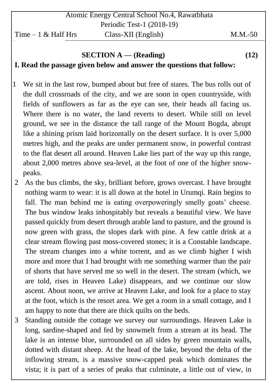## **SECTION A — (Reading) (12) I. Read the passage given below and answer the questions that follow:**

- 1 We sit in the last row, bumped about but free of stares. The bus rolls out of the dull crossroads of the city, and we are soon in open countryside, with fields of sunflowers as far as the eye can see, their heads all facing us. Where there is no water, the land reverts to desert. While still on level ground, we see in the distance the tall range of the Mount Bogda, abrupt like a shining prism laid horizontally on the desert surface. It is over 5,000 metres high, and the peaks are under permanent snow, in powerful contrast to the flat desert all around. Heaven Lake lies part of the way up this range, about 2,000 metres above sea-level, at the foot of one of the higher snowpeaks.
- 2 As the bus climbs, the sky, brilliant before, grows overcast. I have brought nothing warm to wear: it is all down at the hotel in Urumqi. Rain begins to fall. The man behind me is eating overpoweringly smelly goats' cheese. The bus window leaks inhospitably but reveals a beautiful view. We have passed quickly from desert through arable land to pasture, and the ground is now green with grass, the slopes dark with pine. A few cattle drink at a clear stream flowing past moss-covered stones; it is a Constable landscape. The stream changes into a white torrent, and as we climb higher I wish more and more that I had brought with me something warmer than the pair of shorts that have served me so well in the desert. The stream (which, we are told, rises in Heaven Lake) disappears, and we continue our slow ascent. About noon, we arrive at Heaven Lake, and look for a place to stay at the foot, which is the resort area. We get a room in a small cottage, and I am happy to note that there are thick quilts on the beds.
- 3 Standing outside the cottage we survey our surroundings. Heaven Lake is long, sardine-shaped and fed by snowmelt from a stream at its head. The lake is an intense blue, surrounded on all sides by green mountain walls, dotted with distant sheep. At the head of the lake, beyond the delta of the inflowing stream, is a massive snow-capped peak which dominates the vista; it is part of a series of peaks that culminate, a little out of view, in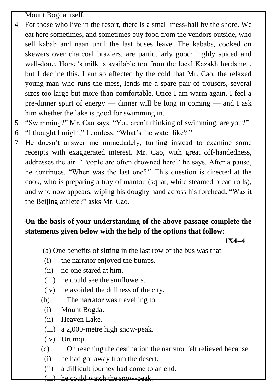Mount Bogda itself.

- 4 For those who live in the resort, there is a small mess-hall by the shore. We eat here sometimes, and sometimes buy food from the vendors outside, who sell kabab and naan until the last buses leave. The kababs, cooked on skewers over charcoal braziers, are particularly good; highly spiced and well-done. Horse's milk is available too from the local Kazakh herdsmen, but I decline this. I am so affected by the cold that Mr. Cao, the relaxed young man who runs the mess, lends me a spare pair of trousers, several sizes too large but more than comfortable. Once I am warm again, I feel a pre-dinner spurt of energy — dinner will be long in coming — and I ask him whether the lake is good for swimming in.
- 5 "Swimming?" Mr. Cao says. "You aren't thinking of swimming, are you?"
- 6 "I thought I might," I confess. "What's the water like?"
- 7 He doesn't answer me immediately, turning instead to examine some receipts with exaggerated interest. Mr. Cao, with great off-handedness, addresses the air. "People are often drowned here" he says. After a pause, he continues. "When was the last one?" This question is directed at the cook, who is preparing a tray of mantou (squat, white steamed bread rolls), and who now appears, wiping his doughy hand across his forehead. "Was it the Beijing athlete?" asks Mr. Cao.

# **On the basis of your understanding of the above passage complete the statements given below with the help of the options that follow:**

### **1X4=4**

- (a) One benefits of sitting in the last row of the bus was that
- (i) the narrator enjoyed the bumps.
- (ii) no one stared at him.
- (iii) he could see the sunflowers.
- (iv) he avoided the dullness of the city.
- (b) The narrator was travelling to
- (i) Mount Bogda.
- (ii) Heaven Lake.
- (iii) a 2,000-metre high snow-peak.
- (iv) Urumqi.
- (c) On reaching the destination the narrator felt relieved because
- (i) he had got away from the desert.
- (ii) a difficult journey had come to an end.
- (iii) he could watch the snow-peak.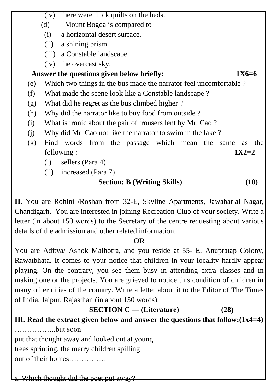(iv) there were thick quilts on the beds. (d) Mount Bogda is compared to (i) a horizontal desert surface. (ii) a shining prism. (iii) a Constable landscape. (iv) the overcast sky.

### Answer the questions given below briefly:  $1X6=6$

- (e) Which two things in the bus made the narrator feel uncomfortable ?
- (f) What made the scene look like a Constable landscape ?
- (g) What did he regret as the bus climbed higher ?
- (h) Why did the narrator like to buy food from outside ?
- (i) What is ironic about the pair of trousers lent by Mr. Cao ?
- (j) Why did Mr. Cao not like the narrator to swim in the lake ?
- (k) Find words from the passage which mean the same as the following : **1X2=2**
	- (i) sellers (Para 4)
	- (ii) increased (Para 7)

### **Section: B (Writing Skills) (10)**

**II.** You are Rohini /Roshan from 32-E, Skyline Apartments, Jawaharlal Nagar, Chandigarh. You are interested in joining Recreation Club of your society. Write a letter (in about 150 words) to the Secretary of the centre requesting about various details of the admission and other related information.

#### **OR**

You are Aditya/ Ashok Malhotra, and you reside at 55- E, Anupratap Colony, Rawatbhata. It comes to your notice that children in your locality hardly appear playing. On the contrary, you see them busy in attending extra classes and in making one or the projects. You are grieved to notice this condition of children in many other cities of the country. Write a letter about it to the Editor of The Times of India, Jaipur, Rajasthan (in about 150 words).

 **SECTION C — (Literature) (28) III. Read the extract given below and answer the questions that follow:(1x4=4)** ……………..but soon

put that thought away and looked out at young trees sprinting, the merry children spilling

out of their homes……………

a. Which thought did the poet put away?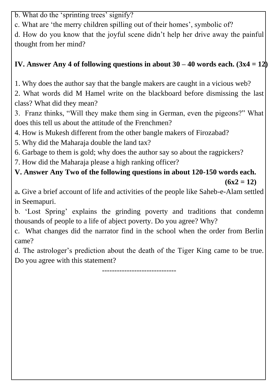b. What do the 'sprinting trees' signify?

c. What are 'the merry children spilling out of their homes', symbolic of?

d. How do you know that the joyful scene didn't help her drive away the painful thought from her mind?

# **IV. Answer Any 4 of following questions in about 30 – 40 words each. (3x4 = 12)**

1. Why does the author say that the bangle makers are caught in a vicious web?

2. What words did M Hamel write on the blackboard before dismissing the last class? What did they mean?

3. Franz thinks, "Will they make them sing in German, even the pigeons?" What does this tell us about the attitude of the Frenchmen?

4. How is Mukesh different from the other bangle makers of Firozabad?

5. Why did the Maharaja double the land tax?

6. Garbage to them is gold; why does the author say so about the ragpickers?

7. How did the Maharaja please a high ranking officer?

**V. Answer Any Two of the following questions in about 120-150 words each.** 

 $(6x2 = 12)$ 

a**.** Give a brief account of life and activities of the people like Saheb-e-Alam settled in Seemapuri.

b. ‗Lost Spring' explains the grinding poverty and traditions that condemn thousands of people to a life of abject poverty. Do you agree? Why?

c. What changes did the narrator find in the school when the order from Berlin came?

d. The astrologer's prediction about the death of the Tiger King came to be true. Do you agree with this statement?

------------------------------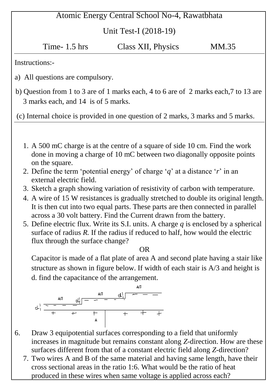# Atomic Energy Central School No-4, Rawatbhata

### Unit Test-I (2018-19)

| Time- $1.5$ hrs | Class XII, Physics | MM.35 |
|-----------------|--------------------|-------|
|-----------------|--------------------|-------|

Instructions:-

- a) All questions are compulsory.
- b) Question from 1 to 3 are of 1 marks each, 4 to 6 are of 2 marks each,7 to 13 are 3 marks each, and 14 is of 5 marks.

(c) Internal choice is provided in one question of 2 marks, 3 marks and 5 marks.

- 1. A 500 mC charge is at the centre of a square of side 10 cm. Find the work done in moving a charge of 10 mC between two diagonally opposite points on the square.
- 2. Define the term 'potential energy' of charge ' $q$ ' at a distance '*r*' in an external electric field.
- 3. Sketch a graph showing variation of resistivity of carbon with temperature.
- 4. A wire of 15 W resistances is gradually stretched to double its original length. It is then cut into two equal parts. These parts are then connected in parallel across a 30 volt battery. Find the Current drawn from the battery.
- 5. Define electric flux. Write its S.I. units. A charge *q* is enclosed by a spherical surface of radius *R*. If the radius if reduced to half, how would the electric flux through the surface change?

**OR** Service Service Service Service Service Service Service Service Service Service Service Service Service Service Service Service Service Service Service Service Service Service Service Service Service Service Service S

Capacitor is made of a flat plate of area A and second plate having a stair like structure as shown in figure below. If width of each stair is A/3 and height is d. find the capacitance of the arrangement.



- 6. Draw 3 equipotential surfaces corresponding to a field that uniformly increases in magnitude but remains constant along *Z*-direction. How are these surfaces different from that of a constant electric field along *Z*-direction?
	- 7. Two wires A and B of the same material and having same length, have their cross sectional areas in the ratio 1:6. What would be the ratio of heat produced in these wires when same voltage is applied across each?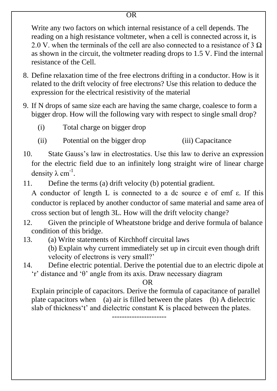Write any two factors on which internal resistance of a cell depends. The reading on a high resistance voltmeter, when a cell is connected across it, is 2.0 V. when the terminals of the cell are also connected to a resistance of 3  $\Omega$ as shown in the circuit, the voltmeter reading drops to 1.5 V. Find the internal resistance of the Cell.

- 8. Define relaxation time of the free electrons drifting in a conductor. How is it related to the drift velocity of free electrons? Use this relation to deduce the expression for the electrical resistivity of the material
- 9. If N drops of same size each are having the same charge, coalesce to form a bigger drop. How will the following vary with respect to single small drop?
	- (i) Total charge on bigger drop
	- (ii) Potential on the bigger drop (iii) Capacitance
- 10. State Gauss's law in electrostatics. Use this law to derive an expression for the electric field due to an infinitely long straight wire of linear charge density  $\lambda$  cm<sup>-1</sup>.
- 11. Define the terms (a) drift velocity (b) potential gradient.

A conductor of length L is connected to a dc source e of emf ε. If this conductor is replaced by another conductor of same material and same area of cross section but of length 3L. How will the drift velocity change?

- 12. Given the principle of Wheatstone bridge and derive formula of balance condition of this bridge.
- 13. (a) Write statements of Kirchhoff circuital laws (b) Explain why current immediately set up in circuit even though drift velocity of electrons is very small?'
- 14. Define electric potential. Derive the potential due to an electric dipole at  $'r$ ' distance and 'θ' angle from its axis. Draw necessary diagram

OR

Explain principle of capacitors. Derive the formula of capacitance of parallel plate capacitors when (a) air is filled between the plates (b) A dielectric slab of thickness't' and dielectric constant K is placed between the plates. ----------------------

**OR**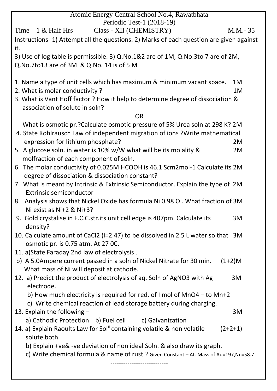| Atomic Energy Central School No.4, Rawatbhata                                            |           |
|------------------------------------------------------------------------------------------|-----------|
| Periodic Test-1 (2018-19)                                                                |           |
| Class - XII (CHEMISTRY)<br>Time $-1$ & Half Hrs                                          | M.M.-35   |
| Instructions- 1) Attempt all the questions. 2) Marks of each question are given against  |           |
| it.                                                                                      |           |
| 3) Use of log table is permissible. 3) Q.No.1&2 are of 1M, Q.No.3to 7 are of 2M,         |           |
| Q.No.7to13 are of 3M & Q.No. 14 is of 5 M                                                |           |
| 1. Name a type of unit cells which has maximum & minimum vacant space.                   | 1M        |
| 2. What is molar conductivity?                                                           | 1M        |
| 3. What is Vant Hoff factor ? How it help to determine degree of dissociation &          |           |
| association of solute in soln?                                                           |           |
| <b>OR</b>                                                                                |           |
| What is osmotic pr.? Calculate osmotic pressure of 5% Urea soln at 298 K? 2M             |           |
| 4. State Kohlrausch Law of independent migration of ions ?Write mathematical             |           |
| expression for lithium phosphate?                                                        | 2M        |
| 5. A glucose soln. in water is 10% w/W what will be its molality &                       | 2M        |
| molfraction of each component of soln.                                                   |           |
| 6. The molar conductivity of 0.025M HCOOH is 46.1 Scm2mol-1 Calculate its 2M             |           |
| degree of dissociation & dissociation constant?                                          |           |
| 7. What is meant by Intrinsic & Extrinsic Semiconductor. Explain the type of 2M          |           |
| <b>Extrinsic semiconductor</b>                                                           |           |
| 8. Analysis shows that Nickel Oxide has formula Ni 0.98 O. What fraction of 3M           |           |
| Ni exist as Ni+2 & Ni+3?                                                                 |           |
| 9. Gold crystalise in F.C.C.str.its unit cell edge is 407pm. Calculate its               | 3M        |
| density?                                                                                 |           |
| 10. Calculate amount of CaCl2 (i=2.47) to be dissolved in 2.5 L water so that 3M         |           |
| osmotic pr. is 0.75 atm. At 27 OC.                                                       |           |
| 11. a) State Faraday 2nd law of electrolysis.                                            |           |
| b) A 5.0Ampere current passed in a soln of Nickel Nitrate for 30 min.                    | $(1+2)M$  |
| What mass of Ni will deposit at cathode.                                                 |           |
| 12. a) Predict the product of electrolysis of aq. Soln of AgNO3 with Ag                  | 3M        |
| electrode.                                                                               |           |
| b) How much electricity is required for red. of I mol of MnO4 - to Mn+2                  |           |
| c) Write chemical reaction of lead storage battery during charging.                      |           |
| 13. Explain the following $-$                                                            | 3M        |
| a) Cathodic Protection b) Fuel cell c) Galvanization                                     |           |
| 14. a) Explain Raoults Law for Sol <sup>n</sup> containing volatile & non volatile       | $(2+2+1)$ |
| solute both.                                                                             |           |
| b) Explain + ve& - ve deviation of non ideal Soln. & also draw its graph.                |           |
| c) Write chemical formula & name of rust ? Given Constant - At. Mass of Au=197, Ni =58.7 |           |
|                                                                                          |           |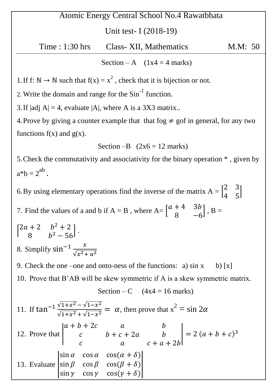# Atomic Energy Central School No.4 Rawatbhata

#### Unit test- I (2018-19)

Time : 1:30 hrs Class- XII, Mathematics M.M: 50

Section – A  $(1x4 = 4 \text{ marks})$ 

1. If f:  $\mathbb{N} \to \mathbb{N}$  such that  $f(x) = x^2$ , check that it is bijection or not.

2. Write the domain and range for the  $Sin^{-1}$  function.

3. If  $|adj A| = 4$ , evaluate  $|A|$ , where A is a 3X3 matrix..

4. Prove by giving a counter example that that fog  $\neq$  gof in general, for any two functions  $f(x)$  and  $g(x)$ .

Section 
$$
-B
$$
 (2x6 = 12 marks)

5.Check the commutativity and associativity for the binary operation \* , given by  $a^*b = 2^{ab}$ .

6. By using elementary operations find the inverse of the matrix  $A = |$  $\overline{c}$  $\overline{4}$ ]

7. Find the values of a and b if  $A = B$ , where  $A = |$  $\overline{a}$ 8  $\vert$ , B =

$$
\begin{bmatrix} 2a+2 & b^2+2 \ 8 & b^2-56 \end{bmatrix}.
$$
  
\n8. Simplify  $\sin^{-1} \frac{x}{\sqrt{x^2+a^2}}$   
\n9. Check the one – one and onto-ness of the functions: a) sin x b) [x]  
\n10. Prove that B'AB will be skew symmetric if A is a skew symmetric matrix.  
\nSection – C (4x4 = 16 marks)  
\n11. If  $\tan^{-1} \frac{\sqrt{1+x^2} - \sqrt{1-x^2}}{\sqrt{1+x^2} + \sqrt{1-x^2}} = \alpha$ , then prove that  $x^2 = \sin 2\alpha$   
\n12. Prove that  $\begin{vmatrix} a+b+2c & a & b \ c & b+c+2a & b \ c & a & c+a+2b \end{vmatrix} = 2(a+b+c)^3$   
\n13. Evaluate  $\begin{vmatrix} \sin \alpha & \cos \alpha & \cos(\alpha + \delta) \\ \sin \beta & \cos \beta & \cos(\beta + \delta) \\ \sin \gamma & \cos \gamma & \cos(\gamma + \delta) \end{vmatrix}$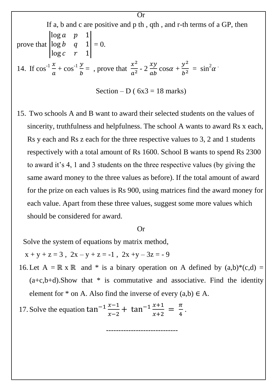If a, b and c are positive and p th, qth, and r-th terms of a GP, then  
\nprove that 
$$
\begin{vmatrix} \log a & p & 1 \\ \log b & q & 1 \\ \log c & r & 1 \end{vmatrix} = 0.
$$
  
\n14. If  $\cos^{-1} \frac{x}{a} + \cos^{-1} \frac{y}{b} = 0$ , prove that  $\frac{x^2}{a^2} - 2 \frac{xy}{ab} \cos \alpha + \frac{y^2}{b^2} = \sin^2 \alpha$ 

 $\overline{Or}$ 

Section – D ( $6x3 = 18$  marks)

15. Two schools A and B want to award their selected students on the values of sincerity, truthfulness and helpfulness. The school A wants to award Rs x each, Rs y each and Rs z each for the three respective values to 3, 2 and 1 students respectively with a total amount of Rs 1600. School B wants to spend Rs 2300 to award it's 4, 1 and 3 students on the three respective values (by giving the same award money to the three values as before). If the total amount of award for the prize on each values is Rs 900, using matrices find the award money for each value. Apart from these three values, suggest some more values which should be considered for award.

#### Or

Solve the system of equations by matrix method,

 $x + y + z = 3$ ,  $2x - y + z = -1$ ,  $2x + y - 3z = -9$ 

16. Let A =  $\mathbb{R} \times \mathbb{R}$  and \* is a binary operation on A defined by  $(a,b)*(c,d)$  =  $(a+c,b+d)$ . Show that \* is commutative and associative. Find the identity element for  $*$  on A. Also find the inverse of every  $(a,b) \in A$ .

-----------------------------

.

17. Solve the equation  $\mathcal{X}$  $\mathcal{X}$ + tan<sup>-1</sup> $\frac{x}{y}$  $\mathcal{X}$  $=\frac{\pi}{4}$  $\overline{\mathbf{4}}$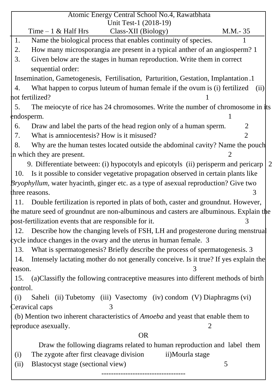| Atomic Energy Central School No.4, Rawatbhata                                                                                     |
|-----------------------------------------------------------------------------------------------------------------------------------|
| Unit Test-1 (2018-19)                                                                                                             |
| Time $-1$ & Half Hrs<br>Class-XII (Biology)<br>$M.M.-35$<br>1.<br>Name the biological process that enables continuity of species. |
| How many microsporangia are present in a typical anther of an angiosperm? 1<br>2.                                                 |
|                                                                                                                                   |
| Given below are the stages in human reproduction. Write them in correct<br>3.<br>sequential order:                                |
| Insemination, Gametogenesis, Fertilisation, Parturition, Gestation, Implantation.1                                                |
| What happen to corpus luteum of human female if the ovum is (i) fertilized<br>4.<br>(ii)                                          |
| hot fertilized?                                                                                                                   |
| The meiocyte of rice has 24 chromosomes. Write the number of chromosome in its<br>5.                                              |
| endosperm.                                                                                                                        |
| Draw and label the parts of the head region only of a human sperm.<br>2<br>6.                                                     |
| What is amniocentesis? How is it misused?<br>$\overline{2}$<br>7.                                                                 |
| Why are the human testes located outside the abdominal cavity? Name the pouch<br>8.                                               |
| in which they are present.                                                                                                        |
| 9. Differentiate between: (i) hypocotyls and epicotyls (ii) perisperm and pericarp                                                |
| Is it possible to consider vegetative propagation observed in certain plants like<br>10.                                          |
| <i>Bryophyllum</i> , water hyacinth, ginger etc. as a type of asexual reproduction? Give two                                      |
| three reasons.<br>3                                                                                                               |
| Double fertilization is reported in plats of both, caster and ground nut. However,<br>11.                                         |
| the mature seed of groundnut are non-albuminous and casters are albuminous. Explain the                                           |
| 3<br>post-fertilization events that are responsible for it.                                                                       |
| 12. Describe how the changing levels of FSH, LH and progesterone during menstrual                                                 |
| $\psi$ cycle induce changes in the ovary and the uterus in human female. 3                                                        |
| What is spermatogenesis? Briefly describe the process of spermatogenesis. 3<br>13.                                                |
| Intensely lactating mother do not generally conceive. Is it true? If yes explain the<br>14.                                       |
| reason.                                                                                                                           |
| (a) Classifly the following contraceptive measures into different methods of birth<br>15.                                         |
| ¢ontrol.                                                                                                                          |
| Saheli (ii) Tubetomy (iii) Vasectomy (iv) condom (V) Diaphragms (vi)<br>(i)                                                       |
| Ceravical caps<br>3                                                                                                               |
| (b) Mention two inherent characteristics of <i>Amoeba</i> and yeast that enable them to                                           |
| eproduce as exually.<br>2                                                                                                         |
| <b>OR</b>                                                                                                                         |
| Draw the following diagrams related to human reproduction and label them                                                          |
| The zygote after first cleavage division<br>ii)Mourla stage<br>(i)                                                                |
| 5<br>Blastocyst stage (sectional view)<br>(ii)                                                                                    |
|                                                                                                                                   |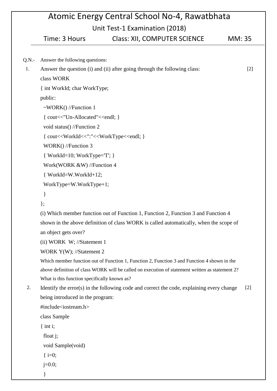# Atomic Energy Central School No-4, Rawatbhata Unit Tost 1 Evamination (2018)

|          | Time: 3 Hours                                                         | Unit Test-I Examination (2018)<br><b>Class: XII, COMPUTER SCIENCE</b>                           | MM: 35 |
|----------|-----------------------------------------------------------------------|-------------------------------------------------------------------------------------------------|--------|
|          |                                                                       |                                                                                                 |        |
| $Q.N. -$ | Answer the following questions:                                       |                                                                                                 |        |
| 1.       |                                                                       | Answer the question (i) and (ii) after going through the following class:                       | $[2]$  |
|          | class WORK                                                            |                                                                                                 |        |
|          | { int WorkId; char WorkType;                                          |                                                                                                 |        |
|          | public:                                                               |                                                                                                 |        |
|          | $\sim$ WORK() //Function 1                                            |                                                                                                 |        |
|          | { cout<<"Un-Allocated"< <endl; td="" }<=""><td></td><td></td></endl;> |                                                                                                 |        |
|          | void status() //Function 2                                            |                                                                                                 |        |
|          |                                                                       |                                                                                                 |        |
|          | WORK() //Function 3                                                   |                                                                                                 |        |
|          | $\{WorkId=10; WorkType=T';\}$                                         |                                                                                                 |        |
|          | Work(WORK &W) //Function 4                                            |                                                                                                 |        |
|          | $\{WorkId=W.WorkId+12;\$                                              |                                                                                                 |        |
|          | WorkType=W.WorkType+1;                                                |                                                                                                 |        |
|          | ∤                                                                     |                                                                                                 |        |
|          | $\}$ ;                                                                |                                                                                                 |        |
|          |                                                                       | (i) Which member function out of Function 1, Function 2, Function 3 and Function 4              |        |
|          | an object gets over?                                                  | shown in the above definition of class WORK is called automatically, when the scope of          |        |
|          | $(ii)$ WORK W; //Statement 1                                          |                                                                                                 |        |
|          | WORK Y(W); //Statement 2                                              |                                                                                                 |        |
|          |                                                                       | Which member function out of Function 1, Function 2, Function 3 and Function 4 shown in the     |        |
|          |                                                                       | above definition of class WORK will be called on execution of statement written as statement 2? |        |
|          | What is this function specifically known as?                          |                                                                                                 |        |
| 2.       |                                                                       | Identify the error(s) in the following code and correct the code, explaining every change       | $[2]$  |
|          | being introduced in the program:                                      |                                                                                                 |        |
|          | #include <iostream.h></iostream.h>                                    |                                                                                                 |        |
|          | class Sample                                                          |                                                                                                 |        |
|          | $\{$ int i;                                                           |                                                                                                 |        |
|          | float $j$ ;                                                           |                                                                                                 |        |
|          | void Sample(void)                                                     |                                                                                                 |        |
|          | { $i=0;$                                                              |                                                                                                 |        |

j=0.0;

}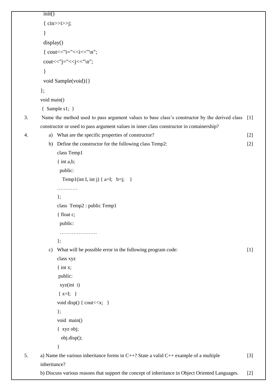```
init() 
         \{ \text{cin} \gg \text{is} \}} 
         display() 
         { cout << "i="<<i<<"\n\pi";
         cout << "j=" < < j << "\n";
         } 
         void Sample(void){} 
       }; 
       void main() 
        { Sample s1; }
3. Name the method used to pass argument values to base class's constructor by the derived class 
[1]
       constructor or used to pass argument values in inner class constructor in containership?
4. a) What are the specific properties of constructor? 
           b) Define the constructor for the following class Temp2:
               class Temp1
                { int a,b;
                 public:
                  Temp1(int I, int j) {a=I; b= j; }
               …………
               };
               class Temp2 : public Temp1
                { float c;
                 public:
                  ………………….
               };
           c) What will be possible error in the following program code:
               class xyz
                \{ int x;
                public:
                 xyz(int i)
                \{ x=I; \}void disp() { cout << x; }
               };
               void main()
                { xyz obj;
                  obj.disp();
               }
                                                                                                           [2]
                                                                                                           [2]
                                                                                                           [1]5. a) Name the various inheritance forms in C++? State a valid C++ example of a multiple 
       inheritance?
       b) Discuss various reasons that support the concept of inheritance in Object Oriented Languages.
                                                                                                           [3]
                                                                                                           [2]
```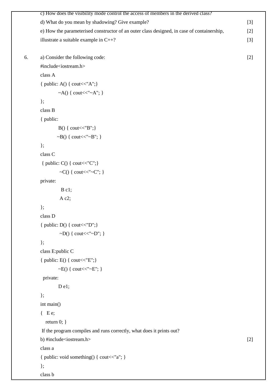|    | c) How does the visibility mode control the access of members in the derived class?        |       |
|----|--------------------------------------------------------------------------------------------|-------|
|    | d) What do you mean by shadowing? Give example?                                            | $[3]$ |
|    | e) How the parameterised constructor of an outer class designed, in case of containership, | $[2]$ |
|    | illustrate a suitable example in $C++?$                                                    | $[3]$ |
| 6. | a) Consider the following code:                                                            | $[2]$ |
|    | #include <iostream.h></iostream.h>                                                         |       |
|    | class A                                                                                    |       |
|    | { public: A() { cout << "A"; }                                                             |       |
|    | ~A() { cout << "~A"; }                                                                     |       |
|    | $\}$ ;                                                                                     |       |
|    | class B                                                                                    |       |
|    | { public:                                                                                  |       |
|    | $B() \{ \text{cout}<< "B"; \}$                                                             |       |
|    | $\sim B()$ { cout << " $\sim B"$ ; }                                                       |       |
|    | $\}$ ;                                                                                     |       |
|    | class C                                                                                    |       |
|    | { public: $C()$ { cout < $C''C''$ ; }                                                      |       |
|    | ~C() { cout << "~ C"; }                                                                    |       |
|    | private:                                                                                   |       |
|    | $B$ c1;                                                                                    |       |
|    | A c2;                                                                                      |       |
|    | $\}$ ;                                                                                     |       |
|    | class D                                                                                    |       |
|    | { public: $D()$ { cout < " $D$ "; }                                                        |       |
|    | ~D() { cout << "~D"; }                                                                     |       |
|    | $\}$ ;                                                                                     |       |
|    | class E:public C                                                                           |       |
|    | { public: $E() \{ \text{cout}<<"E"; \}$                                                    |       |
|    | $\sim E()$ { cout << " $\sim E$ "; }                                                       |       |
|    | private:                                                                                   |       |
|    | Del;                                                                                       |       |
|    | $\}$ ;                                                                                     |       |
|    | int main()                                                                                 |       |
|    | $\{Ee;$                                                                                    |       |
|    | return $0; \}$                                                                             |       |
|    | If the program compiles and runs correctly, what does it prints out?                       |       |
|    | b) #include <iostream.h></iostream.h>                                                      | $[2]$ |
|    | class a                                                                                    |       |
|    | { public: void something() { cout<<"a"; }                                                  |       |
|    | $\}$ ;                                                                                     |       |

class b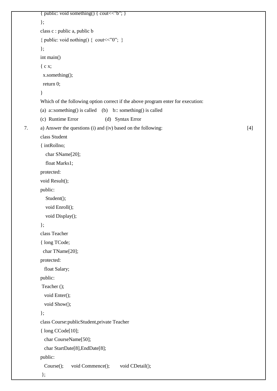```
{ public: void something() { cout << "b"; }
        }; 
       class c : public a, public b 
        { public: void nothing() { cout << "0"; }
        }; 
       int main() 
        { c x; 
          x.something(); 
          return 0; 
        } 
        Which of the following option correct if the above program enter for execution:
       (a) a::something() is called (b) b:: something() is called
       (c) Runtime Error (d) Syntax Error
7. a) Answer the questions (i) and (iv) based on the following: 
       class Student 
        { intRollno; 
          char SName[20]; 
          float Marks1; 
       protected: 
        void Result(); 
       public: 
          Student(); 
          void Enroll(); 
          void Display(); 
        }; 
       class Teacher 
        { long TCode; 
          char TName[20]; 
       protected: 
           float Salary; 
        public:
        Teacher (); 
           void Enter(); 
           void Show(); 
        }; 
       class Course:publicStudent,private Teacher 
        { long CCode[10];
          char CourseName[50]; 
          char StartDate[8],EndDate[8]; 
       public:
          Course(); void Commence(); void CDetail();
        };
                                                                                                              [4]
```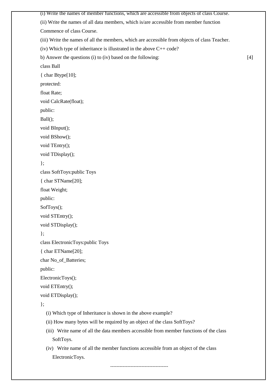(i) Write the names of member functions, which are accessible from objects of class Course. (ii) Write the names of all data members, which is/are accessible from member function Commence of class Course. (iii) Write the names of all the members, which are accessible from objects of class Teacher. (iv) Which type of inheritance is illustrated in the above  $C++code$ ? b) Answer the questions (i) to (iv) based on the following: class Ball { char Btype[10]; protected: float Rate; void CalcRate(float); public: Ball(); void BInput(); void BShow(); void TEntry(); void TDisplay(); }; class SoftToys:public Toys { char STName[20]; float Weight; public: SofToys(); void STEntry(); void STDisplay(); }; class ElectronicToys:public Toys { char ETName[20]; char No\_of\_Batteries; public: ElectronicToys(); void ETEntry(); void ETDisplay(); }; (i) Which type of Inheritance is shown in the above example? (ii) How many bytes will be required by an object of the class SoftToys? (iii) Write name of all the data members accessible from member functions of the class SoftToys. (iv) Write name of all the member functions accessible from an object of the class [4]

-------------------------------------

ElectronicToys.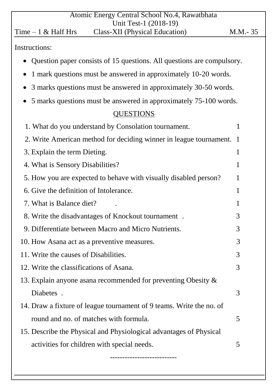| Atomic Energy Central School No.4, Rawatbhata                                          |           |  |
|----------------------------------------------------------------------------------------|-----------|--|
| Unit Test-1 (2018-19)<br><b>Class-XII</b> (Physical Education)<br>Time $-1$ & Half Hrs | M.M. - 35 |  |
| Instructions:                                                                          |           |  |
| Question paper consists of 15 questions. All questions are compulsory.                 |           |  |
| 1 mark questions must be answered in approximately 10-20 words.                        |           |  |
| 3 marks questions must be answered in approximately 30-50 words.                       |           |  |
| 5 marks questions must be answered in approximately 75-100 words.                      |           |  |
| <b>QUESTIONS</b>                                                                       |           |  |
| 1. What do you understand by Consolation tournament.                                   | 1         |  |
| 2. Write American method for deciding winner in league tournament.                     | - 1       |  |
| 3. Explain the term Dieting.                                                           | 1         |  |
| 4. What is Sensory Disabilities?                                                       | 1         |  |
| 5. How you are expected to behave with visually disabled person?                       | 1         |  |
| 6. Give the definition of Intolerance.                                                 | 1         |  |
| 7. What is Balance diet?                                                               | 1         |  |
| 8. Write the disadvantages of Knockout tournament.                                     |           |  |
| 9. Differentiate between Macro and Micro Nutrients.                                    | 3         |  |
| 10. How Asana act as a preventive measures.                                            | 3         |  |
| 11. Write the causes of Disabilities.                                                  | 3         |  |
| 12. Write the classifications of Asana.                                                | 3         |  |
| 13. Explain anyone as an recommended for preventing Obesity $\&$                       |           |  |
| Diabetes.                                                                              | 3         |  |
| 14. Draw a fixture of league tournament of 9 teams. Write the no. of                   |           |  |
| round and no. of matches with formula.                                                 | 5         |  |
| 15. Describe the Physical and Physiological advantages of Physical                     |           |  |
| activities for children with special needs.                                            | 5         |  |
|                                                                                        |           |  |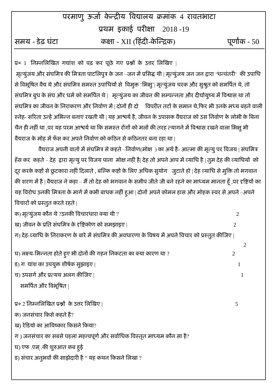|                | परमाणू ऊर्जा केन्द्रीय विद्यालय क्रमांक ४ रावतभाटा |               |
|----------------|----------------------------------------------------|---------------|
|                | प्रथम इकाई परीक्षा 2018 -19                        |               |
| समय - डेढ घंटा | कक्षा - XII (हिंदी-केन्द्रिक)                      | पूर्णांक - 50 |

प्र० 1 निम्नलिखित गद्यांश को पढ़ कर पूछे गए प्रश्नों के उत्तर लिखिए |

मृत्युंजय और संघमित्र की मित्रता पाटलिपुत्र के जन –जन में प्रसिद्ध थी | मृत्युंजय जन जन द्वारा 'धन्वंतरी' की उपाधि से विभूषित वैद्य थे और संघमित्र समस्त उपाधियों से विमुक्त 'भिक्षु'| मृत्युंजय चरक और सुश्रुत को समर्पित थे, तो संघमित्र बुध के संघ और धर्म को समर्पित थे| मृत्युंजय का जीवन की सम्पन्नता और दीर्घायुष्य में विश्वास था तो संघमित्र का जीवन के निराकरण और निर्वाण में | दोनों ही दो विपरीत तटों के समान थे,फिर भी उनके मध्य बहने वाली स्नेह- सरिता उन्हें अभिन्न बनाए रखती थी | यह आश्वर्य है, जीवन के उपासक वैद्यराज को उस निर्वाण के लोभी के बिना चैन ही नहीं था ,पर यह परम आश्वर्य था कि समस्त रोंगों को मलों की तरह त्यागने में विश्वास रखने वाला भिक्षु भी वैद्यराज के मोह में फँस कर अपने निर्वाण को कठिन से कठिनतर बना रहा था |

वैद्यराज अपनी वार्ता में संघमित्र से कहते –निर्वाण(मोक्ष) का अर्थ है- आत्मा की मृत्यु पर विजय | संघमित्र हँस कर कहते – देह द्वारा मृत्यु पर विजय पाना मोक्ष नहीं है| देह तो अपने आप में व्याधि है | तुम देह की व्याधियों को दूर करके कष्टों से छुटकारा नहीं दिलाते , बल्कि कष्टों के लिए अधिक सुयोग जुटाते हो | देह व्याधि से मुक्ति तो भगवान की शरण में है | वैद्यराज ने कहा – मैं तो देह को भगवान के समीप जीते जी बने रहने का माध्यम मानता हूँ ,पर दृष्टियों का यह विरोध उनकी मित्रता के मार्ग में कभी बाधक नहीं हूआ | दोनों अपने कोमल हास और मोहक स्वर से अपने –अपने विचारों को प्रस्तुत करते रहते |

क) भृतमुॊजम कौन थे?उनकी विचायधाया क्मा थी ? 2

ेख) जीवन के प्रति संघमित्र के दृष्टिकोण को समझाइए | 2011 - 2012 को समझाइए | 2012 को समझाइए | 2012 को समझाइए | 2

ग) देह-व्याधि के निराकरण के बारे में संघमित्र की अवधारणा के विषय में अपने विचार को प्रस्तुत कीजिए |

2

घ) लक्ष्य-भिन्नता होते हूए भी दोनों की गहन निकटता का क्या कारण था ?  $\,$   $\,$   $\,$ 

ड) ग $\frac{1}{1}$  वांश का उपयुक्त शीर्षक सुझाइए | 1

च) उऩसगाऔय प्रतमम अरग कीन्द्जए | 1

समर्पित और विभूषित |

प्र० 2 निम्नलिखित प्रश्नों के उत्तर लिखिए |  $5$ 

क) जनसंचार किसे कहते हैं?

ख) रेडियो का आविष्कार किसने किया?

ग) जनसंचार का सबसे पहला महत्त्वपूर्ण और सर्वाधिक विस्तृत माध्यम कौन सा है?

घ) एप .एभ .्की शुरुआत कफ ुई

ड) संचार अनुभवों की साझेदारी है " यह कथन किसने लिखा ?